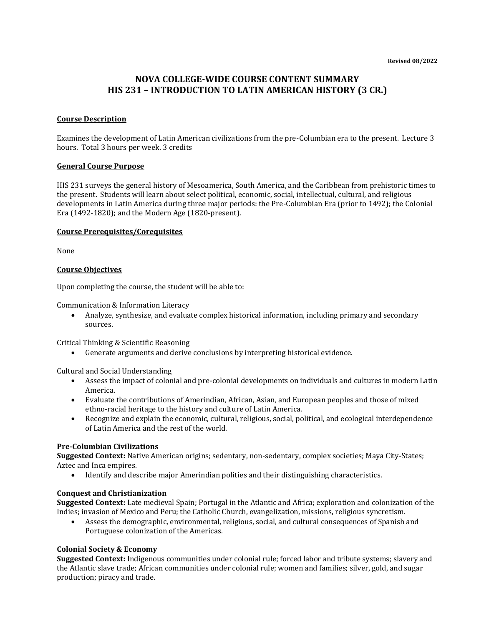# **NOVA COLLEGE-WIDE COURSE CONTENT SUMMARY HIS 231 – INTRODUCTION TO LATIN AMERICAN HISTORY (3 CR.)**

#### **Course Description**

Examines the development of Latin American civilizations from the pre-Columbian era to the present. Lecture 3 hours. Total 3 hours per week. 3 credits

#### **General Course Purpose**

HIS 231 surveys the general history of Mesoamerica, South America, and the Caribbean from prehistoric times to the present. Students will learn about select political, economic, social, intellectual, cultural, and religious developments in Latin America during three major periods: the Pre-Columbian Era (prior to 1492); the Colonial Era (1492-1820); and the Modern Age (1820-present).

#### **Course Prerequisites/Corequisites**

None

#### **Course Objectives**

Upon completing the course, the student will be able to:

Communication & Information Literacy

• Analyze, synthesize, and evaluate complex historical information, including primary and secondary sources.

Critical Thinking & Scientific Reasoning

• Generate arguments and derive conclusions by interpreting historical evidence.

Cultural and Social Understanding

- Assess the impact of colonial and pre-colonial developments on individuals and cultures in modern Latin America.
- Evaluate the contributions of Amerindian, African, Asian, and European peoples and those of mixed ethno-racial heritage to the history and culture of Latin America.
- Recognize and explain the economic, cultural, religious, social, political, and ecological interdependence of Latin America and the rest of the world.

#### **Pre-Columbian Civilizations**

**Suggested Context:** Native American origins; sedentary, non-sedentary, complex societies; Maya City-States; Aztec and Inca empires.

• Identify and describe major Amerindian polities and their distinguishing characteristics.

### **Conquest and Christianization**

**Suggested Context:** Late medieval Spain; Portugal in the Atlantic and Africa; exploration and colonization of the Indies; invasion of Mexico and Peru; the Catholic Church, evangelization, missions, religious syncretism.

• Assess the demographic, environmental, religious, social, and cultural consequences of Spanish and Portuguese colonization of the Americas.

#### **Colonial Society & Economy**

**Suggested Context:** Indigenous communities under colonial rule; forced labor and tribute systems; slavery and the Atlantic slave trade; African communities under colonial rule; women and families; silver, gold, and sugar production; piracy and trade.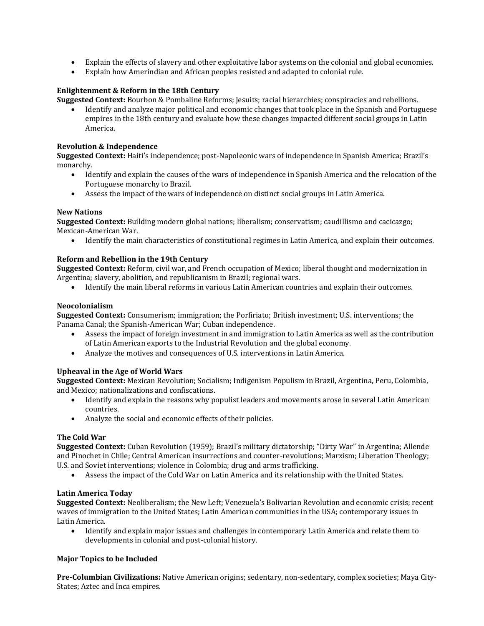- Explain the effects of slavery and other exploitative labor systems on the colonial and global economies.
- Explain how Amerindian and African peoples resisted and adapted to colonial rule.

# **Enlightenment & Reform in the 18th Century**

**Suggested Context:** Bourbon & Pombaline Reforms; Jesuits; racial hierarchies; conspiracies and rebellions.

• Identify and analyze major political and economic changes that took place in the Spanish and Portuguese empires in the 18th century and evaluate how these changes impacted different social groups in Latin America.

### **Revolution & Independence**

**Suggested Context:** Haiti's independence; post-Napoleonic wars of independence in Spanish America; Brazil's monarchy.

- Identify and explain the causes of the wars of independence in Spanish America and the relocation of the Portuguese monarchy to Brazil.
- Assess the impact of the wars of independence on distinct social groups in Latin America.

### **New Nations**

**Suggested Context:** Building modern global nations; liberalism; conservatism; caudillismo and cacicazgo; Mexican-American War.

• Identify the main characteristics of constitutional regimes in Latin America, and explain their outcomes.

### **Reform and Rebellion in the 19th Century**

**Suggested Context:** Reform, civil war, and French occupation of Mexico; liberal thought and modernization in Argentina; slavery, abolition, and republicanism in Brazil; regional wars.

• Identify the main liberal reforms in various Latin American countries and explain their outcomes.

### **Neocolonialism**

**Suggested Context:** Consumerism; immigration; the Porfiriato; British investment; U.S. interventions; the Panama Canal; the Spanish-American War; Cuban independence.

- Assess the impact of foreign investment in and immigration to Latin America as well as the contribution of Latin American exports to the Industrial Revolution and the global economy.
- Analyze the motives and consequences of U.S. interventions in Latin America.

# **Upheaval in the Age of World Wars**

**Suggested Context:** Mexican Revolution; Socialism; Indigenism Populism in Brazil, Argentina, Peru, Colombia, and Mexico; nationalizations and confiscations.

- Identify and explain the reasons why populist leaders and movements arose in several Latin American countries.
- Analyze the social and economic effects of their policies.

### **The Cold War**

**Suggested Context:** Cuban Revolution (1959); Brazil's military dictatorship; "Dirty War" in Argentina; Allende and Pinochet in Chile; Central American insurrections and counter-revolutions; Marxism; Liberation Theology; U.S. and Soviet interventions; violence in Colombia; drug and arms trafficking.

• Assess the impact of the Cold War on Latin America and its relationship with the United States.

### **Latin America Today**

**Suggested Context:** Neoliberalism; the New Left; Venezuela's Bolivarian Revolution and economic crisis; recent waves of immigration to the United States; Latin American communities in the USA; contemporary issues in Latin America.

• Identify and explain major issues and challenges in contemporary Latin America and relate them to developments in colonial and post-colonial history.

### **Major Topics to be Included**

**Pre-Columbian Civilizations:** Native American origins; sedentary, non-sedentary, complex societies; Maya City-States; Aztec and Inca empires.